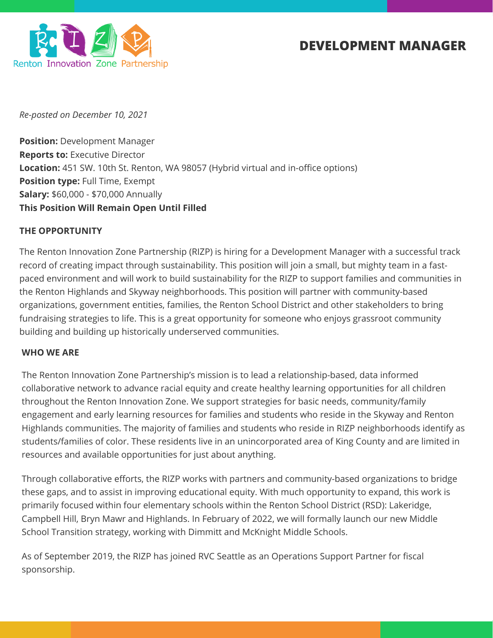

# **DEVELOPMENT MANAGER**

*Re-posted on December 10, 2021*

**Position:** Development Manager **Reports to:** Executive Director **Location:** 451 SW. 10th St. Renton, WA 98057 (Hybrid virtual and in-office options) **Position type:** Full Time, Exempt **Salary:** \$60,000 - \$70,000 Annually **This Position Will Remain Open Until Filled**

#### **THE OPPORTUNITY**

The Renton Innovation Zone Partnership (RIZP) is hiring for a Development Manager with a successful track record of creating impact through sustainability. This position will join a small, but mighty team in a fastpaced environment and will work to build sustainability for the RIZP to support families and communities in the Renton Highlands and Skyway neighborhoods. This position will partner with community-based organizations, government entities, families, the Renton School District and other stakeholders to bring fundraising strategies to life. This is a great opportunity for someone who enjoys grassroot community building and building up historically underserved communities.

#### **WHO WE ARE**

The Renton Innovation Zone Partnership's mission is to lead a relationship-based, data informed collaborative network to advance racial equity and create healthy learning opportunities for all children throughout the Renton Innovation Zone. We support strategies for basic needs, community/family engagement and early learning resources for families and students who reside in the Skyway and Renton Highlands communities. The majority of families and students who reside in RIZP neighborhoods identify as students/families of color. These residents live in an unincorporated area of King County and are limited in resources and available opportunities for just about anything.

Through collaborative efforts, the RIZP works with partners and community-based organizations to bridge these gaps, and to assist in improving educational equity. With much opportunity to expand, this work is primarily focused within four elementary schools within the Renton School District (RSD): Lakeridge, Campbell Hill, Bryn Mawr and Highlands. In February of 2022, we will formally launch our new Middle School Transition strategy, working with Dimmitt and McKnight Middle Schools.

As of September 2019, the RIZP has joined RVC Seattle as an Operations Support Partner for fiscal sponsorship.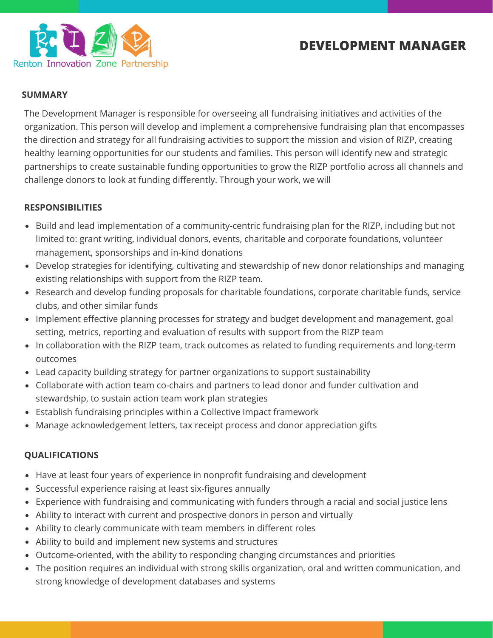



#### **SUMMARY**

The Development Manager is responsible for overseeing all fundraising initiatives and activities of the organization. This person will develop and implement a comprehensive fundraising plan that encompasses the direction and strategy for all fundraising activities to support the mission and vision of RIZP, creating healthy learning opportunities for our students and families. This person will identify new and strategic partnerships to create sustainable funding opportunities to grow the RIZP portfolio across all channels and challenge donors to look at funding differently. Through your work, we will

#### **RESPONSIBILITIES**

- Build and lead implementation of a community-centric fundraising plan for the RIZP, including but not limited to: grant writing, individual donors, events, charitable and corporate foundations, volunteer management, sponsorships and in-kind donations
- Develop strategies for identifying, cultivating and stewardship of new donor relationships and managing existing relationships with support from the RIZP team.
- Research and develop funding proposals for charitable foundations, corporate charitable funds, service clubs, and other similar funds
- Implement effective planning processes for strategy and budget development and management, goal setting, metrics, reporting and evaluation of results with support from the RIZP team
- In collaboration with the RIZP team, track outcomes as related to funding requirements and long-term outcomes
- Lead capacity building strategy for partner organizations to support sustainability
- Collaborate with action team co-chairs and partners to lead donor and funder cultivation and stewardship, to sustain action team work plan strategies
- Establish fundraising principles within a Collective Impact framework
- Manage acknowledgement letters, tax receipt process and donor appreciation gifts

## **QUALIFICATIONS**

- Have at least four years of experience in nonprofit fundraising and development
- Successful experience raising at least six-figures annually
- Experience with fundraising and communicating with funders through a racial and social justice lens
- Ability to interact with current and prospective donors in person and virtually
- Ability to clearly communicate with team members in different roles
- Ability to build and implement new systems and structures
- Outcome-oriented, with the ability to responding changing circumstances and priorities
- The position requires an individual with strong skills organization, oral and written communication, and strong knowledge of development databases and systems